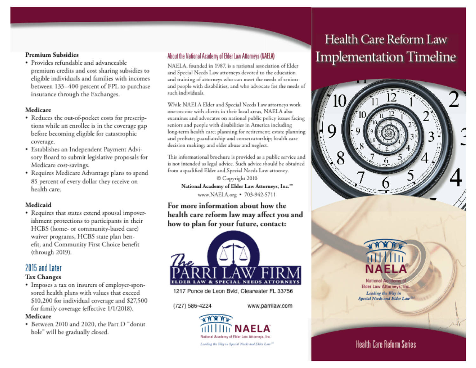#### **Premium Subsidies**

· Provides refundable and advanceable premium credits and cost sharing subsidies to eligible individuals and families with incomes between 133-400 percent of FPL to purchase insurance through the Exchanges.

#### Medicare

- Reduces the out-of-pocket costs for prescriptions while an enrollee is in the coverage gap before becoming eligible for catastrophic coverage.
- · Establishes an Independent Payment Advisory Board to submit legislative proposals for Medicare cost-savings.
- Requires Medicare Advantage plans to spend 85 percent of every dollar they receive on health care.

#### Medicaid

• Requires that states extend spousal impoverishment protections to participants in their HCBS (home- or community-based care) waiver programs, HCBS state plan benefit, and Community First Choice benefit (through 2019).

# 2015 and Later

#### **Tax Changes**

• Imposes a tax on insurers of employer-sponsored health plans with values that exceed \$10,200 for individual coverage and \$27,500 for family coverage (effective 1/1/2018).

#### Medicare

• Between 2010 and 2020, the Part D "donut hole" will be gradually closed.

### About the National Academy of Elder Law Attorneys (NAELA)

NAELA, founded in 1987, is a national association of Elder and Special Needs Law attorneys devoted to the education and training of attorneys who can meet the needs of seniors and people with disabilities, and who advocate for the needs of such individuals.

While NAELA Elder and Special Needs Law attorneys work one-on-one with clients in their local areas. NAELA also examines and advocates on national public policy issues facing seniors and people with disabilities in America including long-term health care; planning for retirement; estate planning and probate; guardianship and conservatorship; health care decision making; and elder abuse and neglect.

This informational brochure is provided as a public service and is not intended as legal advice. Such advice should be obtained from a qualified Elder and Special Needs Law attorney.

© Copyright 2010 National Academy of Elder Law Attorneys, Inc."" www.NAELA.org • 703-942-5711

For more information about how the health care reform law may affect you and how to plan for your future, contact:



1217 Ponce de Leon Bvld, Clearwater FL 33756

(727) 586-4224

www.parrilaw.com



# Health Care Reform Law **Implementation Timeline**





**National Academy** Elder Law Attorneys, Inc. Leading the Way in Special Needs and Elder Law

# **Health Care Reform Series**